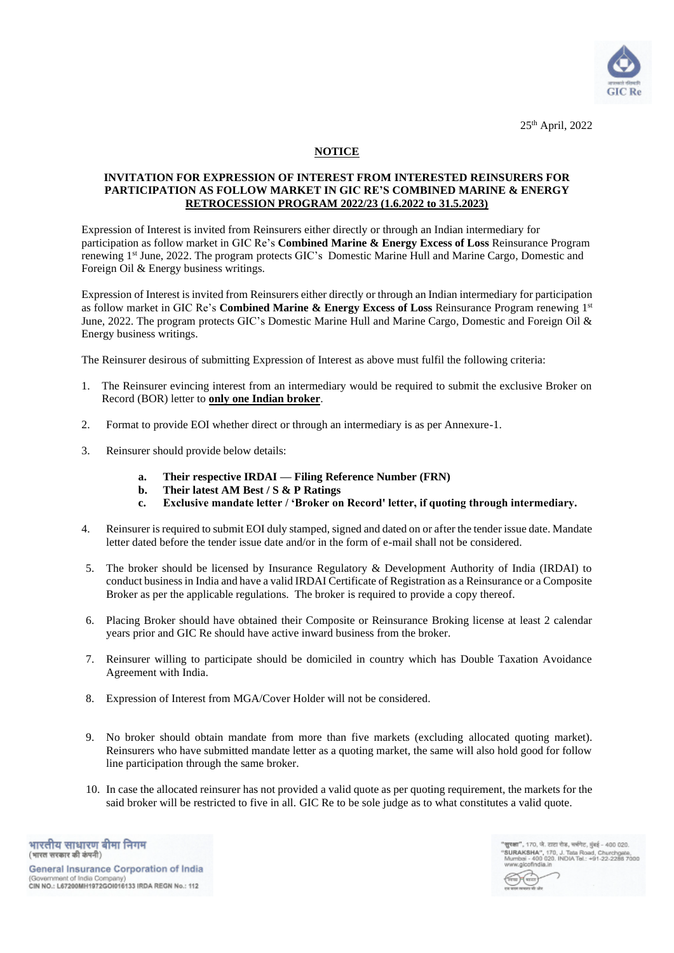

25 th April, 2022

# **NOTICE**

# **INVITATION FOR EXPRESSION OF INTEREST FROM INTERESTED REINSURERS FOR PARTICIPATION AS FOLLOW MARKET IN GIC RE'S COMBINED MARINE & ENERGY RETROCESSION PROGRAM 2022/23 (1.6.2022 to 31.5.2023)**

Expression of Interest is invited from Reinsurers either directly or through an Indian intermediary for participation as follow market in GIC Re's **Combined Marine & Energy Excess of Loss** Reinsurance Program renewing 1st June, 2022. The program protects GIC's Domestic Marine Hull and Marine Cargo, Domestic and Foreign Oil & Energy business writings.

Expression of Interest is invited from Reinsurers either directly or through an Indian intermediary for participation as follow market in GIC Re's **Combined Marine & Energy Excess of Loss** Reinsurance Program renewing 1st June, 2022. The program protects GIC's Domestic Marine Hull and Marine Cargo, Domestic and Foreign Oil & Energy business writings.

The Reinsurer desirous of submitting Expression of Interest as above must fulfil the following criteria:

- 1. The Reinsurer evincing interest from an intermediary would be required to submit the exclusive Broker on Record (BOR) letter to **only one Indian broker**.
- 2. Format to provide EOI whether direct or through an intermediary is as per Annexure-1.
- 3. Reinsurer should provide below details:
	- **a. Their respective IRDAI — Filing Reference Number (FRN)**
	- **b. Their latest AM Best / S & P Ratings**
	- **c. Exclusive mandate letter / 'Broker on Record' letter, if quoting through intermediary.**
- 4. Reinsurer is required to submit EOI duly stamped, signed and dated on or after the tender issue date. Mandate letter dated before the tender issue date and/or in the form of e-mail shall not be considered.
- 5. The broker should be licensed by Insurance Regulatory & Development Authority of India (IRDAI) to conduct business in India and have a valid IRDAI Certificate of Registration as a Reinsurance or a Composite Broker as per the applicable regulations. The broker is required to provide a copy thereof.
- 6. Placing Broker should have obtained their Composite or Reinsurance Broking license at least 2 calendar years prior and GIC Re should have active inward business from the broker.
- 7. Reinsurer willing to participate should be domiciled in country which has Double Taxation Avoidance Agreement with India.
- 8. Expression of Interest from MGA/Cover Holder will not be considered.
- 9. No broker should obtain mandate from more than five markets (excluding allocated quoting market). Reinsurers who have submitted mandate letter as a quoting market, the same will also hold good for follow line participation through the same broker.
- 10. In case the allocated reinsurer has not provided a valid quote as per quoting requirement, the markets for the said broker will be restricted to five in all. GIC Re to be sole judge as to what constitutes a valid quote.

भारतीय साधारण बीमा निगम (भारत सरकार की कंपनी) General Insurance Corporation of India (Government of India Company)<br>CIN NO.: L67200MH1972GOI016133 IRDA REGN No.: 112

**सुरक्षा",** 170, जे. टाटा रोड, चर्चगेट, सुंबई - 400 020 SURAKSHA", 170, J. Tata Road, Churchgate,<br>Mumbai - 400 020. INDIA Tel.: +91-22-2286 7000 India.in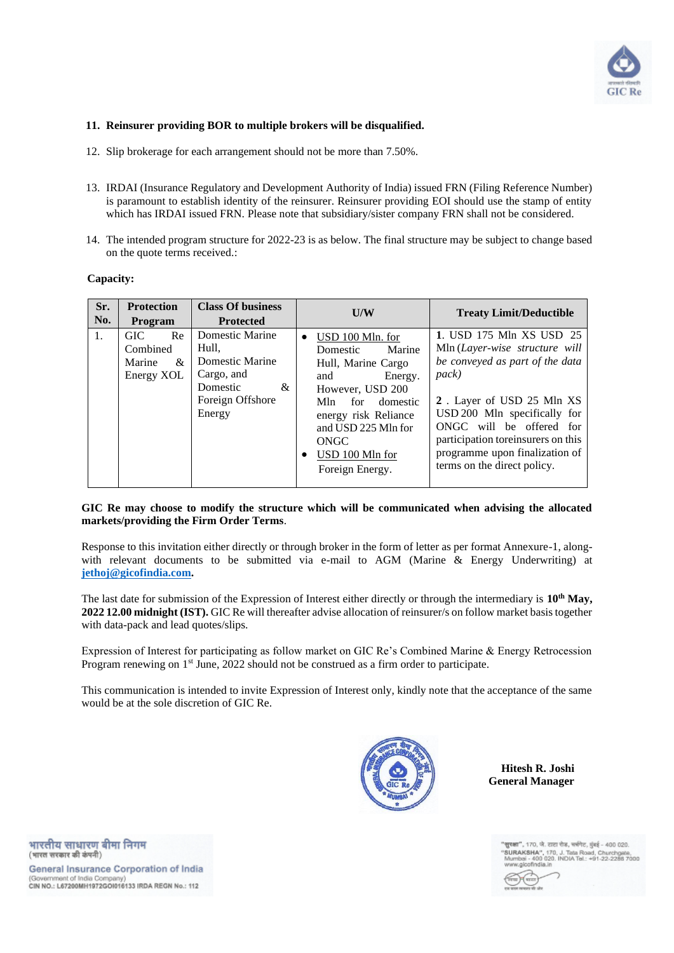

### **11. Reinsurer providing BOR to multiple brokers will be disqualified.**

- 12. Slip brokerage for each arrangement should not be more than 7.50%.
- 13. IRDAI (Insurance Regulatory and Development Authority of India) issued FRN (Filing Reference Number) is paramount to establish identity of the reinsurer. Reinsurer providing EOI should use the stamp of entity which has IRDAI issued FRN. Please note that subsidiary/sister company FRN shall not be considered.
- 14. The intended program structure for 2022-23 is as below. The final structure may be subject to change based on the quote terms received.:

#### **Capacity:**

| Sr.<br><b>Protection</b><br>No.<br><b>Program</b> |    |                                                     | <b>Class Of business</b><br><b>Protected</b>                                                             | U/W                                                                                                                                                                                                                     | <b>Treaty Limit/Deductible</b>                                                                                                                                                                                                                                                                         |
|---------------------------------------------------|----|-----------------------------------------------------|----------------------------------------------------------------------------------------------------------|-------------------------------------------------------------------------------------------------------------------------------------------------------------------------------------------------------------------------|--------------------------------------------------------------------------------------------------------------------------------------------------------------------------------------------------------------------------------------------------------------------------------------------------------|
|                                                   | 1. | Re<br>GIC.<br>Combined<br>Marine<br>&<br>Energy XOL | Domestic Marine<br>Hull,<br>Domestic Marine<br>Cargo, and<br>Domestic<br>&<br>Foreign Offshore<br>Energy | USD 100 Mln. for<br>Marine<br>Domestic<br>Hull, Marine Cargo<br>Energy.<br>and<br>However, USD 200<br>for domestic<br>Mln.<br>energy risk Reliance<br>and USD 225 Mln for<br>ONGC<br>USD 100 Mln for<br>Foreign Energy. | 1. USD 175 Mln XS USD 25<br>Mln (Layer-wise structure will<br>be conveyed as part of the data<br>pack)<br>2. Layer of USD 25 Mln XS<br>USD 200 Mln specifically for<br>ONGC will be offered for<br>participation toreinsurers on this<br>programme upon finalization of<br>terms on the direct policy. |

### **GIC Re may choose to modify the structure which will be communicated when advising the allocated markets/providing the Firm Order Terms**.

Response to this invitation either directly or through broker in the form of letter as per format Annexure-1, alongwith relevant documents to be submitted via e-mail to AGM (Marine & Energy Underwriting) at **[jethoj@gicofindia.com.](mailto:jethoj@gicofindia.com)**

The last date for submission of the Expression of Interest either directly or through the intermediary is **10th May, 2022 12.00 midnight (IST).** GIC Re will thereafter advise allocation of reinsurer/s on follow market basis together with data-pack and lead quotes/slips.

Expression of Interest for participating as follow market on GIC Re's Combined Marine & Energy Retrocession Program renewing on 1<sup>st</sup> June, 2022 should not be construed as a firm order to participate.

This communication is intended to invite Expression of Interest only, kindly note that the acceptance of the same would be at the sole discretion of GIC Re.



**Hitesh R. Joshi General Manager**

भारतीय साधारण बीमा निगम (भारत सरकार की कंपनी) General Insurance Corporation of India (Government of India Company)<br>CIN NO.: L67200MH1972GOI016133 IRDA REGN No.: 112

", 170, जे. टाटा रोड, चर्चगेट, मुंबई - 400 020. SURAKSHA", 170, J. Tata Road, Churchgate,<br>Mumbai - 400 020. INDIA Tel.: +91-22-2286 7000 ndia.in